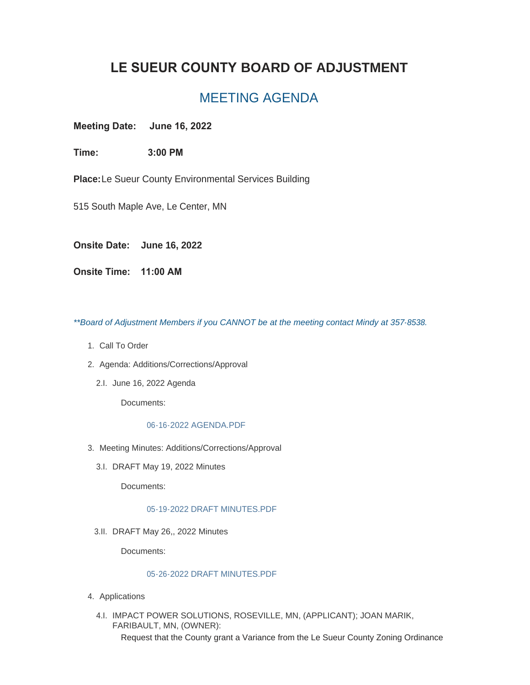# **LE SUEUR COUNTY BOARD OF ADJUSTMENT**

## MEETING AGENDA

### **Meeting Date: June 16, 2022**

**Time: 3:00 PM**

**Place:**Le Sueur County Environmental Services Building

515 South Maple Ave, Le Center, MN

**Onsite Date: June 16, 2022**

**Onsite Time: 11:00 AM**

*\*\*Board of Adjustment Members if you CANNOT be at the meeting contact Mindy at 357-8538.*

- 1. Call To Order
- 2. Agenda: Additions/Corrections/Approval
	- 2.I. June 16, 2022 Agenda

Documents:

#### [06-16-2022 AGENDA.PDF](https://www.co.le-sueur.mn.us/AgendaCenter/ViewFile/Item/3865?fileID=4384)

- 3. Meeting Minutes: Additions/Corrections/Approval
	- 3.I. DRAFT May 19, 2022 Minutes

Documents:

#### [05-19-2022 DRAFT MINUTES.PDF](https://www.co.le-sueur.mn.us/AgendaCenter/ViewFile/Item/3866?fileID=4387)

3.II. DRAFT May 26,, 2022 Minutes

Documents:

#### [05-26-2022 DRAFT MINUTES.PDF](https://www.co.le-sueur.mn.us/AgendaCenter/ViewFile/Item/3867?fileID=4385)

- 4. Applications
	- 4.I. IMPACT POWER SOLUTIONS, ROSEVILLE, MN, (APPLICANT); JOAN MARIK, FARIBAULT, MN, (OWNER): Request that the County grant a Variance from the Le Sueur County Zoning Ordinance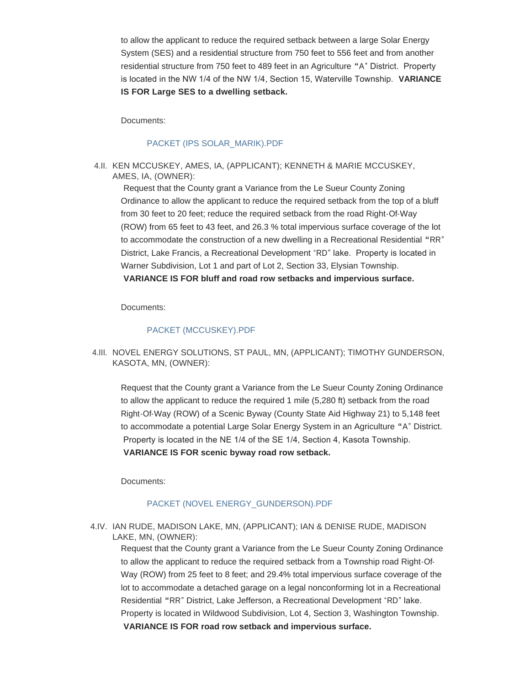to allow the applicant to reduce the required setback between a large Solar Energy System (SES) and a residential structure from 750 feet to 556 feet and from another residential structure from 750 feet to 489 feet in an Agriculture **"**A" District. Property is located in the NW 1/4 of the NW 1/4, Section 15, Waterville Township. **VARIANCE IS FOR Large SES to a dwelling setback.**

Documents:

#### [PACKET \(IPS SOLAR\\_MARIK\).PDF](https://www.co.le-sueur.mn.us/AgendaCenter/ViewFile/Item/3868?fileID=4386)

4.II. KEN MCCUSKEY, AMES, IA, (APPLICANT); KENNETH & MARIE MCCUSKEY, AMES, IA, (OWNER):

Request that the County grant a Variance from the Le Sueur County Zoning Ordinance to allow the applicant to reduce the required setback from the top of a bluff from 30 feet to 20 feet; reduce the required setback from the road Right-Of-Way (ROW) from 65 feet to 43 feet, and 26.3 % total impervious surface coverage of the lot to accommodate the construction of a new dwelling in a Recreational Residential **"**RR" District, Lake Francis, a Recreational Development "RD" lake. Property is located in Warner Subdivision, Lot 1 and part of Lot 2, Section 33, Elysian Township. **VARIANCE IS FOR bluff and road row setbacks and impervious surface.**

Documents:

#### [PACKET \(MCCUSKEY\).PDF](https://www.co.le-sueur.mn.us/AgendaCenter/ViewFile/Item/3859?fileID=4378)

4.III. NOVEL ENERGY SOLUTIONS, ST PAUL, MN, (APPLICANT); TIMOTHY GUNDERSON, KASOTA, MN, (OWNER):

Request that the County grant a Variance from the Le Sueur County Zoning Ordinance to allow the applicant to reduce the required 1 mile (5,280 ft) setback from the road Right-Of-Way (ROW) of a Scenic Byway (County State Aid Highway 21) to 5,148 feet to accommodate a potential Large Solar Energy System in an Agriculture **"**A" District. Property is located in the NE 1/4 of the SE 1/4, Section 4, Kasota Township. **VARIANCE IS FOR scenic byway road row setback.**

Documents:

#### [PACKET \(NOVEL ENERGY\\_GUNDERSON\).PDF](https://www.co.le-sueur.mn.us/AgendaCenter/ViewFile/Item/3860?fileID=4379)

4.IV. IAN RUDE, MADISON LAKE, MN, (APPLICANT); IAN & DENISE RUDE, MADISON LAKE, MN, (OWNER):

Request that the County grant a Variance from the Le Sueur County Zoning Ordinance to allow the applicant to reduce the required setback from a Township road Right-Of-Way (ROW) from 25 feet to 8 feet; and 29.4% total impervious surface coverage of the lot to accommodate a detached garage on a legal nonconforming lot in a Recreational Residential **"**RR" District, Lake Jefferson, a Recreational Development "RD" lake. Property is located in Wildwood Subdivision, Lot 4, Section 3, Washington Township. **VARIANCE IS FOR road row setback and impervious surface.**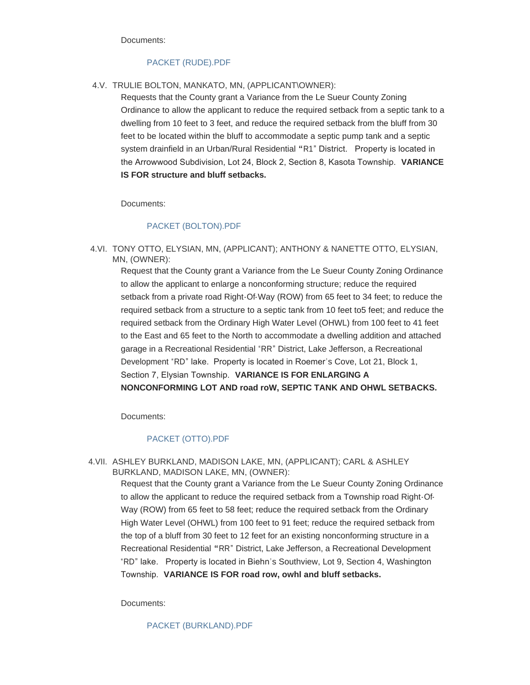Documents:

#### [PACKET \(RUDE\).PDF](https://www.co.le-sueur.mn.us/AgendaCenter/ViewFile/Item/3861?fileID=4380)

4.V. TRULIE BOLTON, MANKATO, MN, (APPLICANT\OWNER):

Requests that the County grant a Variance from the Le Sueur County Zoning Ordinance to allow the applicant to reduce the required setback from a septic tank to a dwelling from 10 feet to 3 feet, and reduce the required setback from the bluff from 30 feet to be located within the bluff to accommodate a septic pump tank and a septic system drainfield in an Urban/Rural Residential **"**R1" District. Property is located in the Arrowwood Subdivision, Lot 24, Block 2, Section 8, Kasota Township. **VARIANCE IS FOR structure and bluff setbacks.**

Documents:

#### [PACKET \(BOLTON\).PDF](https://www.co.le-sueur.mn.us/AgendaCenter/ViewFile/Item/3862?fileID=4381)

4.VI. TONY OTTO, ELYSIAN, MN, (APPLICANT); ANTHONY & NANETTE OTTO, ELYSIAN, MN, (OWNER):

Request that the County grant a Variance from the Le Sueur County Zoning Ordinance to allow the applicant to enlarge a nonconforming structure; reduce the required setback from a private road Right-Of-Way (ROW) from 65 feet to 34 feet; to reduce the required setback from a structure to a septic tank from 10 feet to5 feet; and reduce the required setback from the Ordinary High Water Level (OHWL) from 100 feet to 41 feet to the East and 65 feet to the North to accommodate a dwelling addition and attached garage in a Recreational Residential "RR" District, Lake Jefferson, a Recreational Development "RD" lake. Property is located in Roemer's Cove, Lot 21, Block 1, Section 7, Elysian Township. **VARIANCE IS FOR ENLARGING A NONCONFORMING LOT AND road roW, SEPTIC TANK AND OHWL SETBACKS.**

Documents:

#### [PACKET \(OTTO\).PDF](https://www.co.le-sueur.mn.us/AgendaCenter/ViewFile/Item/3863?fileID=4382)

4.VII. ASHLEY BURKLAND, MADISON LAKE, MN, (APPLICANT); CARL & ASHLEY BURKLAND, MADISON LAKE, MN, (OWNER):

Request that the County grant a Variance from the Le Sueur County Zoning Ordinance to allow the applicant to reduce the required setback from a Township road Right-Of-Way (ROW) from 65 feet to 58 feet; reduce the required setback from the Ordinary High Water Level (OHWL) from 100 feet to 91 feet; reduce the required setback from the top of a bluff from 30 feet to 12 feet for an existing nonconforming structure in a Recreational Residential **"**RR" District, Lake Jefferson, a Recreational Development "RD" lake. Property is located in Biehn's Southview, Lot 9, Section 4, Washington Township. **VARIANCE IS FOR road row, owhl and bluff setbacks.**

Documents:

[PACKET \(BURKLAND\).PDF](https://www.co.le-sueur.mn.us/AgendaCenter/ViewFile/Item/3864?fileID=4383)